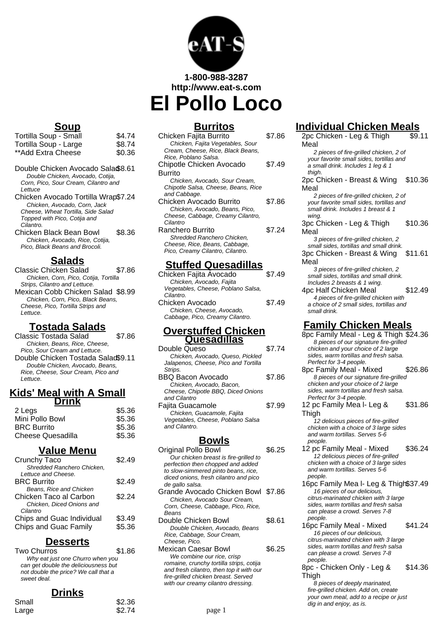

**1-800-988-3287 http://www.eat-s.com**

**El Pollo Loco**

### **Soup**

| Tortilla Soup - Small | \$4.74 |
|-----------------------|--------|
| Tortilla Soup - Large | \$8.74 |
| **Add Extra Cheese    | \$0.36 |

- Double Chicken Avocado Salad\$8.61 Double Chicken, Avocado, Cotija, Corn, Pico, Sour Cream, Cilantro and **Lettuce**
- Chicken Avocado Tortilla Wrap\$7.24 Chicken, Avocado, Corn, Jack Cheese, Wheat Tortilla, Side Salad Topped with Pico, Cotija and Cilantro.
- Chicken Black Bean Bowl \$8.36 Chicken, Avocado, Rice, Cotija, Pico, Black Beans and Brocoli.

#### **Salads**

Classic Chicken Salad \$7.86 Chicken, Corn, Pico, Cotija, Tortilla Strips, Cilantro and Lettuce. Mexican Cobb Chicken Salad \$8.99 Chicken, Corn, Pico, Black Beans, Cheese, Pico, Tortilla Strips and Lettuce.

## **Tostada Salads**

Classic Tostada Salad \$7.86 Chicken, Beans, Rice, Cheese, Pico, Sour Cream and Lettuce. Double Chicken Tostada Salad\$9.11 Double Chicken, Avocado, Beans, Rice, Cheese, Sour Cream, Pico and Lettuce.

#### **Kids' Meal with A Small Drink**

| ------             |        |
|--------------------|--------|
| 2 Legs             | \$5.36 |
| Mini Pollo Bowl    | \$5.36 |
| <b>BRC Burrito</b> | \$5.36 |
| Cheese Quesadilla  | \$5.36 |
|                    |        |

#### **Value Menu**

| Crunchy Taco                 | S2 49  |
|------------------------------|--------|
| Shredded Ranchero Chicken,   |        |
| Lettuce and Cheese.          |        |
| <b>BRC Burrito</b>           | \$2.49 |
| Beans, Rice and Chicken      |        |
| Chicken Taco al Carbon       | \$2.24 |
| Chicken. Diced Onions and    |        |
| Cilantro                     |        |
| Chips and Guac Individual    | \$3.49 |
| <b>Chips and Guac Family</b> | \$5.36 |
|                              |        |

#### **Desserts**

| Two Churros                          | \$1.86 |
|--------------------------------------|--------|
| Why eat just one Churro when you     |        |
| can get double the deliciousness but |        |
| not double the price? We call that a |        |
| sweet deal.                          |        |

## **Drinks**

| Small | \$2.36 |
|-------|--------|
| Large | \$2.74 |

## **Burritos**

| Chicken Fajita Burrito              | \$7.86 |
|-------------------------------------|--------|
| Chicken, Fajita Vegetables, Sour    |        |
| Cream, Cheese, Rice, Black Beans,   |        |
| Rice, Poblano Salsa.                |        |
| Chipotle Chicken Avocado            | \$7.49 |
| Burrito                             |        |
| Chicken, Avocado, Sour Cream,       |        |
| Chipotle Salsa, Cheese, Beans, Rice |        |
| and Cabbage.                        |        |
| Chicken Avocado Burrito             | \$7.86 |
| Chicken, Avocado, Beans, Pico,      |        |
| Cheese, Cabbage, Creamy Cilantro,   |        |
| Cilantro                            |        |
| Ranchero Burrito                    | \$7.24 |
| Shredded Ranchero Chicken,          |        |
| Cheese, Rice, Beans, Cabbage,       |        |
| Pico, Creamy Cilantro, Cilantro.    |        |
|                                     |        |

## **Stuffed Quesadillas**

| Chicken Fajita Avocado             | \$7.49 |
|------------------------------------|--------|
| Chicken, Avocado, Fajita           |        |
| Vegetables, Cheese, Poblano Salsa, |        |
| Cilantro.                          |        |
| Chicken Avocado                    | \$7.49 |
| Chicken, Cheese, Avocado,          |        |
| Cabbage, Pico, Creamy Cilantro.    |        |
|                                    |        |

#### **Overstuffed Chicken Quesadillas**

| Double Queso                         | \$7.74 |
|--------------------------------------|--------|
| Chicken, Avocado, Queso, Pickled     |        |
| Jalapenos, Cheese, Pico and Tortilla |        |
| Strips.                              |        |
| BBQ Bacon Avocado                    | \$7.86 |
| Chicken, Avocado, Bacon,             |        |
| Cheese, Chipotle BBQ, Diced Onions   |        |
| and Cilantro                         |        |
| Fajita Guacamole                     | \$7.99 |
| Chicken, Guacamole, Fajita           |        |
| Vegetables, Cheese, Poblano Salsa    |        |
| and Cilantro.                        |        |
|                                      |        |

#### **Bowls**

| Original Pollo Bowl                      | ነ 25   |
|------------------------------------------|--------|
| Our chicken breast is fire-grilled to    |        |
| perfection then chopped and added        |        |
| to slow-simmered pinto beans, rice,      |        |
| diced onions, fresh cilantro and pico    |        |
| de gallo salsa.                          |        |
| Grande Avocado Chicken Bowl \$7.86       |        |
| Chicken, Avocado Sour Cream,             |        |
| Corn, Cheese, Cabbage, Pico, Rice,       |        |
| Beans                                    |        |
| Double Chicken Bowl                      | \$8.61 |
| Double Chicken, Avocado, Beans           |        |
| Rice, Cabbage, Sour Cream,               |        |
| Cheese, Pico.                            |        |
| Mexican Caesar Bowl                      | \$6.25 |
| We combine our rice, crisp               |        |
| romaine, crunchy tortilla strips, cotija |        |

# **Individual Chicken Meals**

2pc Chicken - Leg & Thigh Meal \$9.11 2 pieces of fire-grilled chicken, 2 of your favorite small sides, tortillas and a small drink. Includes 1 leg & 1 thigh. 2pc Chicken - Breast & Wing \$10.36 Meal 2 pieces of fire-grilled chicken, 2 of your favorite small sides, tortillas and small drink. Includes 1 breast & 1 wing. 3pc Chicken - Leg & Thigh Meal \$10.36 3 pieces of fire-grilled chicken, 2 small sides, tortillas and small drink. 3pc Chicken - Breast & Wing Meal \$11.61 3 pieces of fire-grilled chicken, 2 small sides, tortillas and small drink. Includes 2 breasts & 1 wing. 4pc Half Chicken Meal \$12.49 4 pieces of fire-grilled chicken with a choice of 2 small sides, tortillas and small drink. **Family Chicken Meals** 8pc Family Meal - Leg & Thigh \$24.36 8 pieces of our signature fire-grilled chicken and your choice of 2 large sides, warm tortillas and fresh salsa. Perfect for 3-4 people. 8pc Family Meal - Mixed \$26.86 8 pieces of our signature fire-grilled chicken and your choice of 2 large sides, warm tortillas and fresh salsa. Perfect for 3-4 people. 12 pc Family Mea l- Leg & **Thigh** \$31.86 12 delicious pieces of fire-grilled chicken with a choice of 3 large sides and warm tortillas. Serves 5-6 people. 12 pc Family Meal - Mixed \$36.24 12 delicious pieces of fire-grilled chicken with a choice of 3 large sides and warm tortillas. Serves 5-6 people. 16pc Family Mea l- Leg & Thigh\$37.49 16 pieces of our delicious, citrus-marinated chicken with 3 large sides, warm tortillas and fresh salsa can please a crowd. Serves 7-8 people. 16pc Family Meal - Mixed \$41.24 16 pieces of our delicious, citrus-marinated chicken with 3 large sides, warm tortillas and fresh salsa can please a crowd. Serves 7-8 people. 8pc - Chicken Only - Leg & Thigh \$14.36

8 pieces of deeply marinated, fire-grilled chicken. Add on, create your own meal, add to a recipe or just dig in and enjoy, as is.

and fresh cilantro, then top it with our fire-grilled chicken breast. Served with our creamy cilantro dressing.